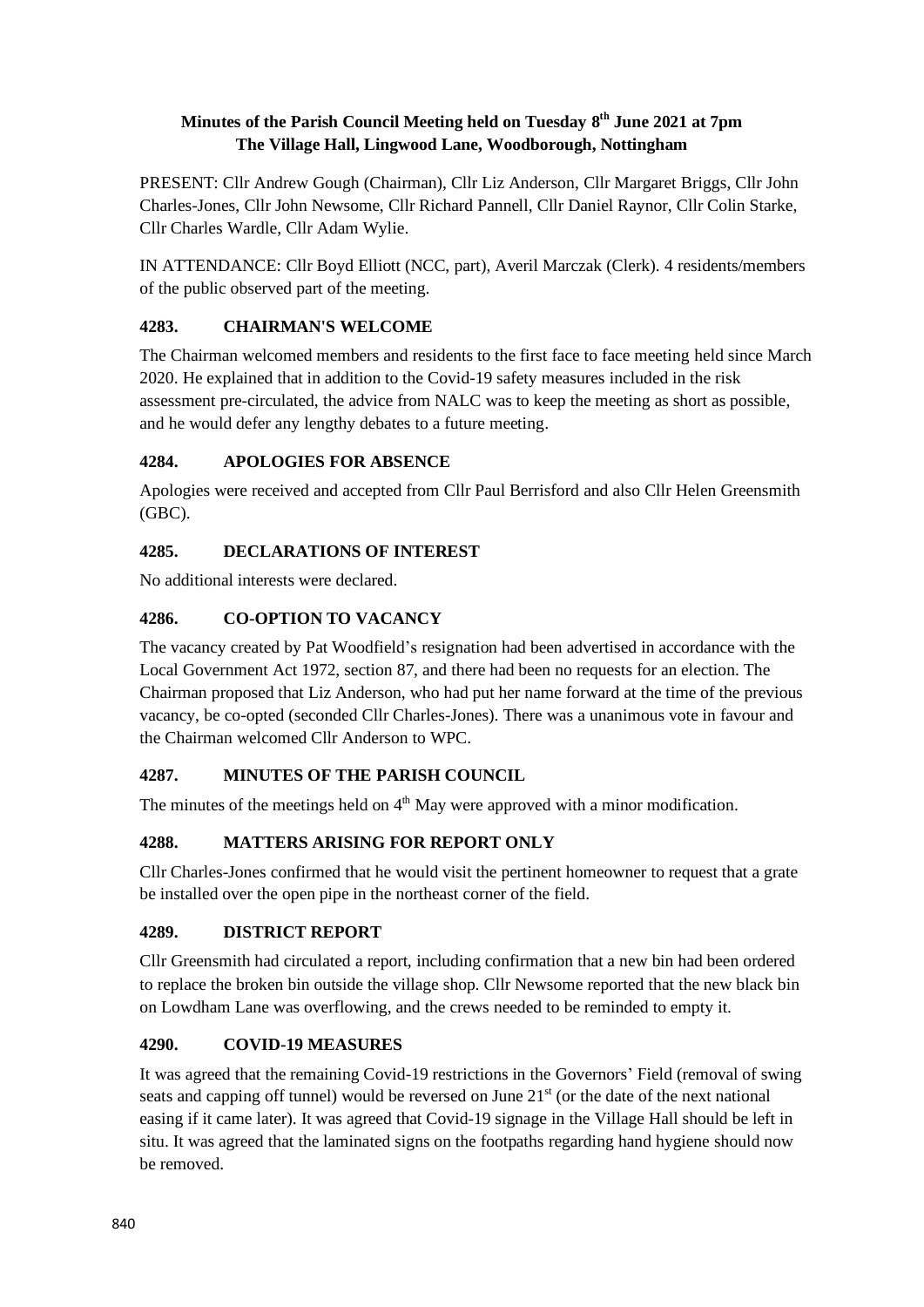### **Minutes of the Parish Council Meeting held on Tuesday 8 th June 2021 at 7pm The Village Hall, Lingwood Lane, Woodborough, Nottingham**

PRESENT: Cllr Andrew Gough (Chairman), Cllr Liz Anderson, Cllr Margaret Briggs, Cllr John Charles-Jones, Cllr John Newsome, Cllr Richard Pannell, Cllr Daniel Raynor, Cllr Colin Starke, Cllr Charles Wardle, Cllr Adam Wylie.

IN ATTENDANCE: Cllr Boyd Elliott (NCC, part), Averil Marczak (Clerk). 4 residents/members of the public observed part of the meeting.

## **4283. CHAIRMAN'S WELCOME**

The Chairman welcomed members and residents to the first face to face meeting held since March 2020. He explained that in addition to the Covid-19 safety measures included in the risk assessment pre-circulated, the advice from NALC was to keep the meeting as short as possible, and he would defer any lengthy debates to a future meeting.

## **4284. APOLOGIES FOR ABSENCE**

Apologies were received and accepted from Cllr Paul Berrisford and also Cllr Helen Greensmith (GBC).

# **4285. DECLARATIONS OF INTEREST**

No additional interests were declared.

## **4286. CO-OPTION TO VACANCY**

The vacancy created by Pat Woodfield's resignation had been advertised in accordance with the Local Government Act 1972, section 87, and there had been no requests for an election. The Chairman proposed that Liz Anderson, who had put her name forward at the time of the previous vacancy, be co-opted (seconded Cllr Charles-Jones). There was a unanimous vote in favour and the Chairman welcomed Cllr Anderson to WPC.

## **4287. MINUTES OF THE PARISH COUNCIL**

The minutes of the meetings held on  $4<sup>th</sup>$  May were approved with a minor modification.

## **4288. MATTERS ARISING FOR REPORT ONLY**

Cllr Charles-Jones confirmed that he would visit the pertinent homeowner to request that a grate be installed over the open pipe in the northeast corner of the field.

## **4289. DISTRICT REPORT**

Cllr Greensmith had circulated a report, including confirmation that a new bin had been ordered to replace the broken bin outside the village shop. Cllr Newsome reported that the new black bin on Lowdham Lane was overflowing, and the crews needed to be reminded to empty it.

## **4290. COVID-19 MEASURES**

It was agreed that the remaining Covid-19 restrictions in the Governors' Field (removal of swing seats and capping off tunnel) would be reversed on June  $21<sup>st</sup>$  (or the date of the next national easing if it came later). It was agreed that Covid-19 signage in the Village Hall should be left in situ. It was agreed that the laminated signs on the footpaths regarding hand hygiene should now be removed.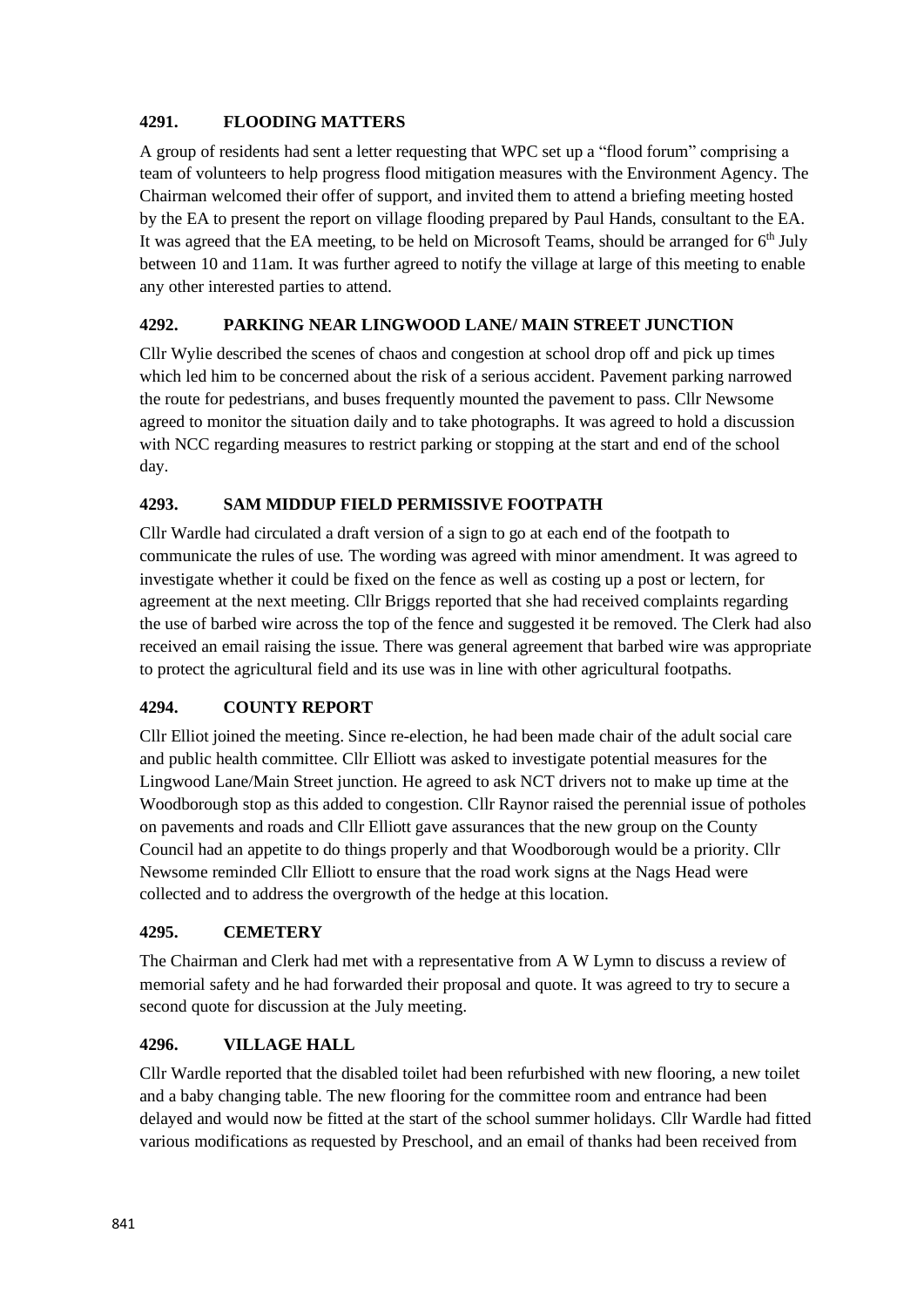#### **4291. FLOODING MATTERS**

A group of residents had sent a letter requesting that WPC set up a "flood forum" comprising a team of volunteers to help progress flood mitigation measures with the Environment Agency. The Chairman welcomed their offer of support, and invited them to attend a briefing meeting hosted by the EA to present the report on village flooding prepared by Paul Hands, consultant to the EA. It was agreed that the EA meeting, to be held on Microsoft Teams, should be arranged for  $6<sup>th</sup>$  July between 10 and 11am. It was further agreed to notify the village at large of this meeting to enable any other interested parties to attend.

## **4292. PARKING NEAR LINGWOOD LANE/ MAIN STREET JUNCTION**

Cllr Wylie described the scenes of chaos and congestion at school drop off and pick up times which led him to be concerned about the risk of a serious accident. Pavement parking narrowed the route for pedestrians, and buses frequently mounted the pavement to pass. Cllr Newsome agreed to monitor the situation daily and to take photographs. It was agreed to hold a discussion with NCC regarding measures to restrict parking or stopping at the start and end of the school day.

### **4293. SAM MIDDUP FIELD PERMISSIVE FOOTPATH**

Cllr Wardle had circulated a draft version of a sign to go at each end of the footpath to communicate the rules of use. The wording was agreed with minor amendment. It was agreed to investigate whether it could be fixed on the fence as well as costing up a post or lectern, for agreement at the next meeting. Cllr Briggs reported that she had received complaints regarding the use of barbed wire across the top of the fence and suggested it be removed. The Clerk had also received an email raising the issue. There was general agreement that barbed wire was appropriate to protect the agricultural field and its use was in line with other agricultural footpaths.

## **4294. COUNTY REPORT**

Cllr Elliot joined the meeting. Since re-election, he had been made chair of the adult social care and public health committee. Cllr Elliott was asked to investigate potential measures for the Lingwood Lane/Main Street junction. He agreed to ask NCT drivers not to make up time at the Woodborough stop as this added to congestion. Cllr Raynor raised the perennial issue of potholes on pavements and roads and Cllr Elliott gave assurances that the new group on the County Council had an appetite to do things properly and that Woodborough would be a priority. Cllr Newsome reminded Cllr Elliott to ensure that the road work signs at the Nags Head were collected and to address the overgrowth of the hedge at this location.

#### **4295. CEMETERY**

The Chairman and Clerk had met with a representative from A W Lymn to discuss a review of memorial safety and he had forwarded their proposal and quote. It was agreed to try to secure a second quote for discussion at the July meeting.

#### **4296. VILLAGE HALL**

Cllr Wardle reported that the disabled toilet had been refurbished with new flooring, a new toilet and a baby changing table. The new flooring for the committee room and entrance had been delayed and would now be fitted at the start of the school summer holidays. Cllr Wardle had fitted various modifications as requested by Preschool, and an email of thanks had been received from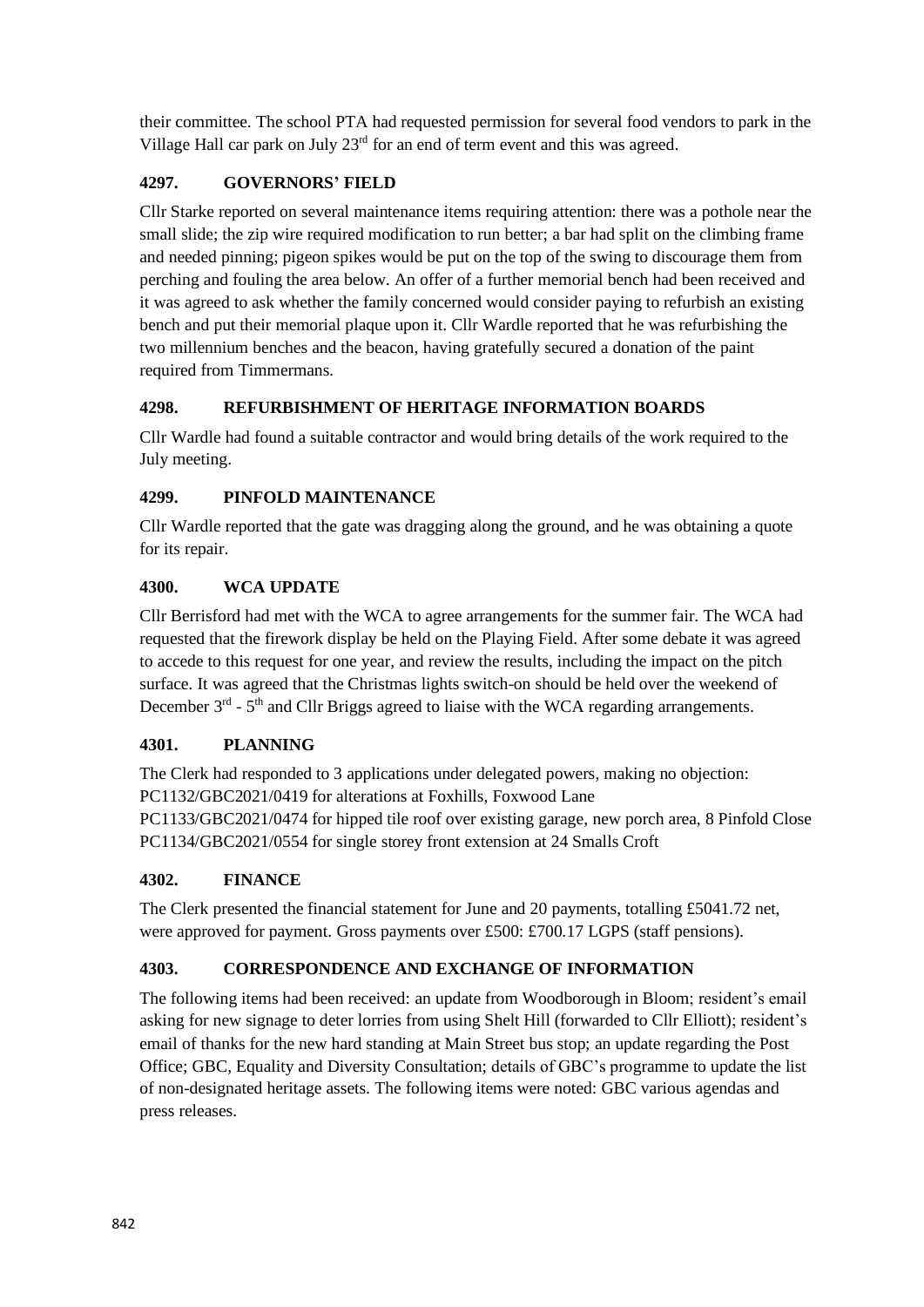their committee. The school PTA had requested permission for several food vendors to park in the Village Hall car park on July 23<sup>rd</sup> for an end of term event and this was agreed.

## **4297. GOVERNORS' FIELD**

Cllr Starke reported on several maintenance items requiring attention: there was a pothole near the small slide; the zip wire required modification to run better; a bar had split on the climbing frame and needed pinning; pigeon spikes would be put on the top of the swing to discourage them from perching and fouling the area below. An offer of a further memorial bench had been received and it was agreed to ask whether the family concerned would consider paying to refurbish an existing bench and put their memorial plaque upon it. Cllr Wardle reported that he was refurbishing the two millennium benches and the beacon, having gratefully secured a donation of the paint required from Timmermans.

### **4298. REFURBISHMENT OF HERITAGE INFORMATION BOARDS**

Cllr Wardle had found a suitable contractor and would bring details of the work required to the July meeting.

#### **4299. PINFOLD MAINTENANCE**

Cllr Wardle reported that the gate was dragging along the ground, and he was obtaining a quote for its repair.

### **4300. WCA UPDATE**

Cllr Berrisford had met with the WCA to agree arrangements for the summer fair. The WCA had requested that the firework display be held on the Playing Field. After some debate it was agreed to accede to this request for one year, and review the results, including the impact on the pitch surface. It was agreed that the Christmas lights switch-on should be held over the weekend of December  $3<sup>rd</sup>$  -  $5<sup>th</sup>$  and Cllr Briggs agreed to liaise with the WCA regarding arrangements.

#### **4301. PLANNING**

The Clerk had responded to 3 applications under delegated powers, making no objection: PC1132/GBC2021/0419 for alterations at Foxhills, Foxwood Lane PC1133/GBC2021/0474 for hipped tile roof over existing garage, new porch area, 8 Pinfold Close PC1134/GBC2021/0554 for single storey front extension at 24 Smalls Croft

#### **4302. FINANCE**

The Clerk presented the financial statement for June and 20 payments, totalling £5041.72 net, were approved for payment. Gross payments over £500: £700.17 LGPS (staff pensions).

## **4303. CORRESPONDENCE AND EXCHANGE OF INFORMATION**

The following items had been received: an update from Woodborough in Bloom; resident's email asking for new signage to deter lorries from using Shelt Hill (forwarded to Cllr Elliott); resident's email of thanks for the new hard standing at Main Street bus stop; an update regarding the Post Office; GBC, Equality and Diversity Consultation; details of GBC's programme to update the list of non-designated heritage assets. The following items were noted: GBC various agendas and press releases.